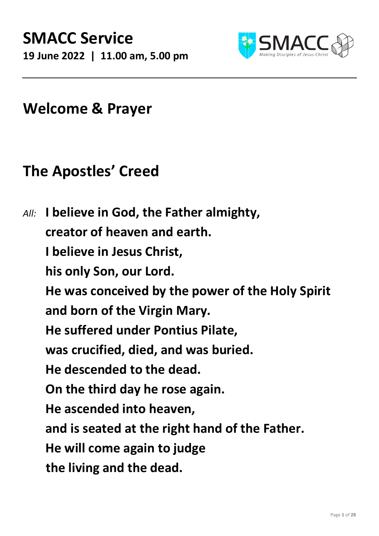

**Welcome & Prayer**

# **The Apostles' Creed**

*All:* **I believe in God, the Father almighty, creator of heaven and earth. I believe in Jesus Christ, his only Son, our Lord. He was conceived by the power of the Holy Spirit and born of the Virgin Mary. He suffered under Pontius Pilate, was crucified, died, and was buried. He descended to the dead. On the third day he rose again. He ascended into heaven, and is seated at the right hand of the Father. He will come again to judge the living and the dead.**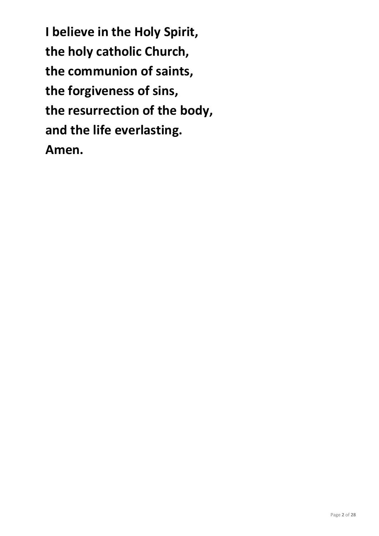**I believe in the Holy Spirit, the holy catholic Church, the communion of saints, the forgiveness of sins, the resurrection of the body, and the life everlasting. Amen.**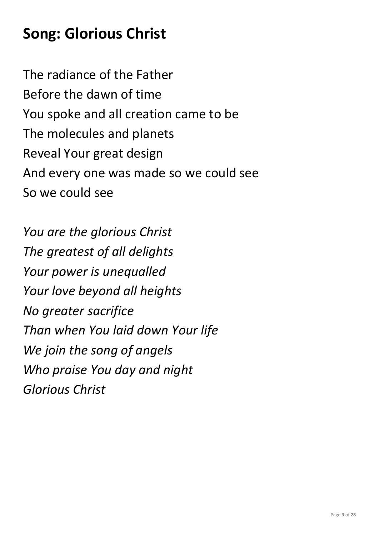# **Song: Glorious Christ**

The radiance of the Father Before the dawn of time You spoke and all creation came to be The molecules and planets Reveal Your great design And every one was made so we could see So we could see

*You are the glorious Christ The greatest of all delights Your power is unequalled Your love beyond all heights No greater sacrifice Than when You laid down Your life We join the song of angels Who praise You day and night Glorious Christ*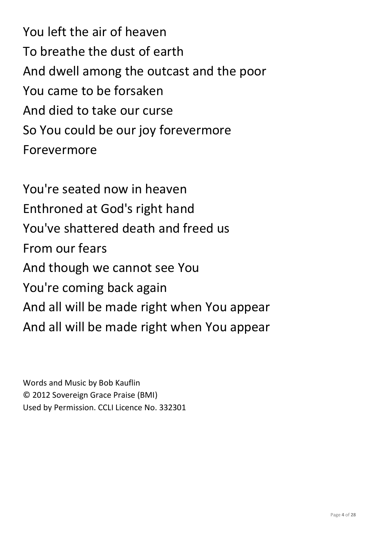You left the air of heaven To breathe the dust of earth And dwell among the outcast and the poor You came to be forsaken And died to take our curse So You could be our joy forevermore Forevermore

You're seated now in heaven Enthroned at God's right hand You've shattered death and freed us From our fears And though we cannot see You You're coming back again And all will be made right when You appear And all will be made right when You appear

Words and Music by Bob Kauflin © 2012 Sovereign Grace Praise (BMI) Used by Permission. CCLI Licence No. 332301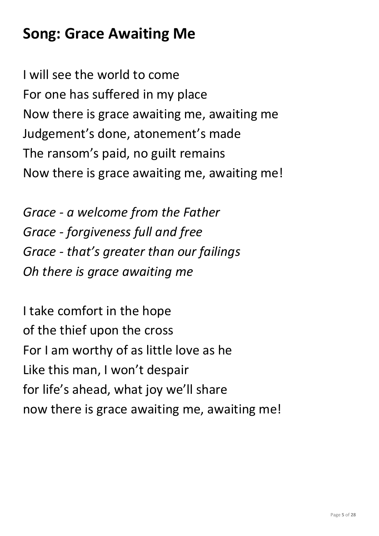# **Song: Grace Awaiting Me**

I will see the world to come For one has suffered in my place Now there is grace awaiting me, awaiting me Judgement's done, atonement's made The ransom's paid, no guilt remains Now there is grace awaiting me, awaiting me!

*Grace - a welcome from the Father Grace - forgiveness full and free Grace - that's greater than our failings Oh there is grace awaiting me*

I take comfort in the hope of the thief upon the cross For I am worthy of as little love as he Like this man, I won't despair for life's ahead, what joy we'll share now there is grace awaiting me, awaiting me!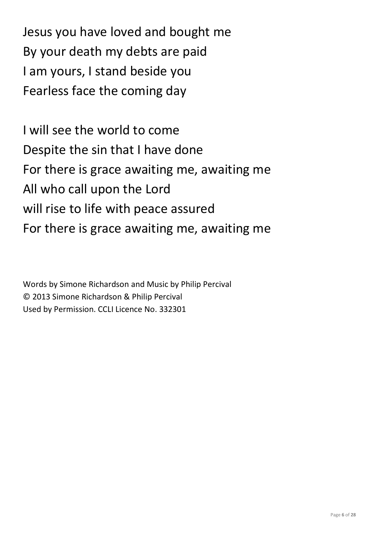Jesus you have loved and bought me By your death my debts are paid I am yours, I stand beside you Fearless face the coming day

I will see the world to come Despite the sin that I have done For there is grace awaiting me, awaiting me All who call upon the Lord will rise to life with peace assured For there is grace awaiting me, awaiting me

Words by Simone Richardson and Music by Philip Percival © 2013 Simone Richardson & Philip Percival Used by Permission. CCLI Licence No. 332301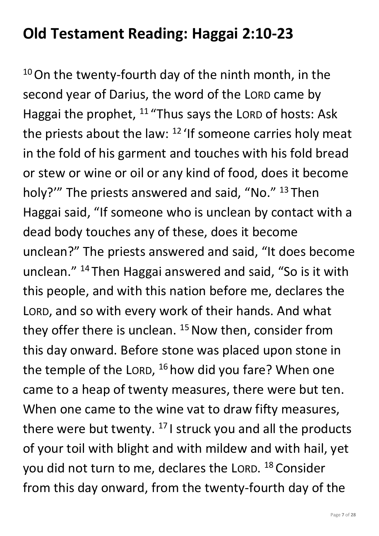# **Old Testament Reading: Haggai 2:10-23**

 $10$  On the twenty-fourth day of the ninth month, in the second year of Darius, the word of the LORD came by Haggai the prophet,  $11$  "Thus says the LORD of hosts: Ask the priests about the law:  $12$  'If someone carries holy meat in the fold of his garment and touches with his fold bread or stew or wine or oil or any kind of food, does it become holy?'" The priests answered and said, "No." <sup>13</sup> Then Haggai said, "If someone who is unclean by contact with a dead body touches any of these, does it become unclean?" The priests answered and said, "It does become unclean." <sup>14</sup> Then Haggai answered and said, "So is it with this people, and with this nation before me, declares the LORD, and so with every work of their hands. And what they offer there is unclean.  $15$  Now then, consider from this day onward. Before stone was placed upon stone in the temple of the LORD, <sup>16</sup> how did you fare? When one came to a heap of twenty measures, there were but ten. When one came to the wine vat to draw fifty measures, there were but twenty.  $17$  I struck you and all the products of your toil with blight and with mildew and with hail, yet you did not turn to me, declares the LORD. <sup>18</sup> Consider from this day onward, from the twenty-fourth day of the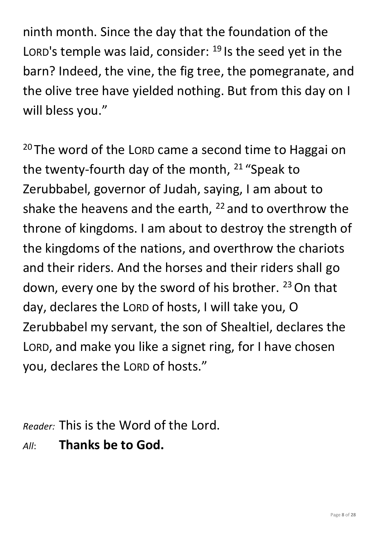ninth month. Since the day that the foundation of the LORD's temple was laid, consider:  $19$  Is the seed yet in the barn? Indeed, the vine, the fig tree, the pomegranate, and the olive tree have yielded nothing. But from this day on I will bless you."

<sup>20</sup> The word of the LORD came a second time to Haggai on the twenty-fourth day of the month,  $21$  "Speak to Zerubbabel, governor of Judah, saying, I am about to shake the heavens and the earth,  $22$  and to overthrow the throne of kingdoms. I am about to destroy the strength of the kingdoms of the nations, and overthrow the chariots and their riders. And the horses and their riders shall go down, every one by the sword of his brother. <sup>23</sup> On that day, declares the LORD of hosts, I will take you, O Zerubbabel my servant, the son of Shealtiel, declares the LORD, and make you like a signet ring, for I have chosen you, declares the LORD of hosts."

*Reader:* This is the Word of the Lord.

*All*: **Thanks be to God.**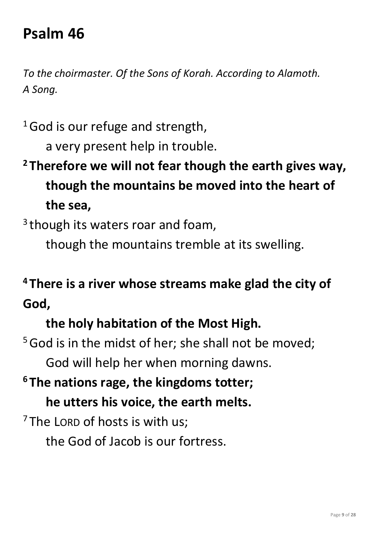# **Psalm 46**

*To the choirmaster. Of the Sons of Korah. According to Alamoth. A Song.*

 $1$  God is our refuge and strength,

a very present help in trouble.

# **<sup>2</sup> Therefore we will not fear though the earth gives way, though the mountains be moved into the heart of the sea,**

<sup>3</sup> though its waters roar and foam,

though the mountains tremble at its swelling.

#### **<sup>4</sup> There is a river whose streams make glad the city of God,**

#### **the holy habitation of the Most High.**

<sup>5</sup> God is in the midst of her; she shall not be moved; God will help her when morning dawns.

#### **<sup>6</sup> The nations rage, the kingdoms totter; he utters his voice, the earth melts.**

<sup>7</sup> The LORD of hosts is with us;

the God of Jacob is our fortress.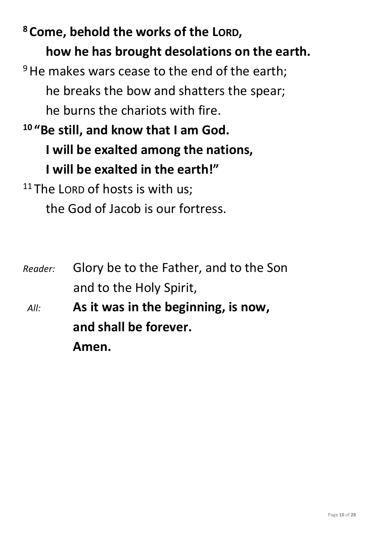# **<sup>8</sup> Come, behold the works of the LORD, how he has brought desolations on the earth.**  $9$  He makes wars cease to the end of the earth; he breaks the bow and shatters the spear; he burns the chariots with fire. **<sup>10</sup> "Be still, and know that I am God. I will be exalted among the nations, I will be exalted in the earth!"**  $11$  The LORD of hosts is with us; the God of Jacob is our fortress.

- *Reader:* Glory be to the Father, and to the Son and to the Holy Spirit,
- *All:* **As it was in the beginning, is now, and shall be forever. Amen.**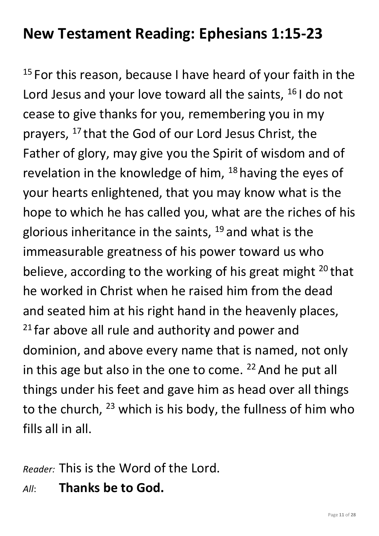# **New Testament Reading: Ephesians 1:15-23**

 $15$  For this reason, because I have heard of your faith in the Lord Jesus and your love toward all the saints, <sup>16</sup> I do not cease to give thanks for you, remembering you in my prayers, <sup>17</sup> that the God of our Lord Jesus Christ, the Father of glory, may give you the Spirit of wisdom and of revelation in the knowledge of him,  $18$  having the eyes of your hearts enlightened, that you may know what is the hope to which he has called you, what are the riches of his glorious inheritance in the saints,  $19$  and what is the immeasurable greatness of his power toward us who believe, according to the working of his great might <sup>20</sup> that he worked in Christ when he raised him from the dead and seated him at his right hand in the heavenly places,  $21$  far above all rule and authority and power and dominion, and above every name that is named, not only in this age but also in the one to come.  $22$  And he put all things under his feet and gave him as head over all things to the church, <sup>23</sup> which is his body, the fullness of him who fills all in all.

*Reader:* This is the Word of the Lord.

*All*: **Thanks be to God.**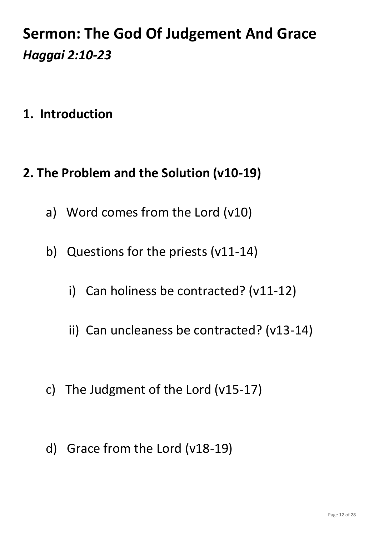# **Sermon: The God Of Judgement And Grace** *Haggai 2:10-23*

**1. Introduction**

#### **2. The Problem and the Solution (v10-19)**

- a) Word comes from the Lord (v10)
- b) Questions for the priests (v11-14)
	- i) Can holiness be contracted? (v11-12)
	- ii) Can uncleaness be contracted? (v13-14)
- c) The Judgment of the Lord (v15-17)
- d) Grace from the Lord (v18-19)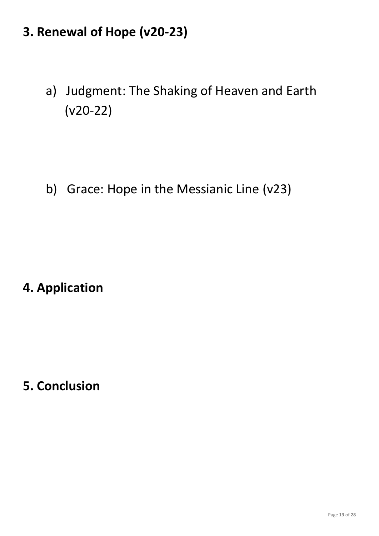#### **3. Renewal of Hope (v20-23)**

a) Judgment: The Shaking of Heaven and Earth (v20-22)

b) Grace: Hope in the Messianic Line (v23)

**4. Application**

**5. Conclusion**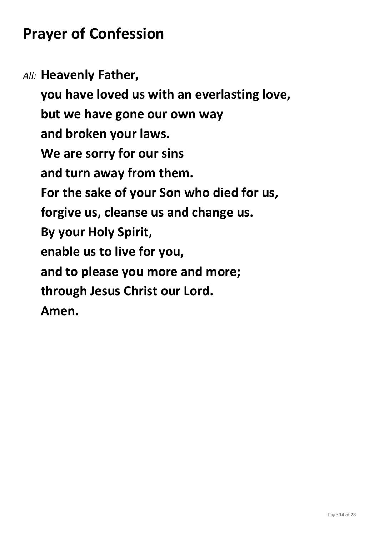# **Prayer of Confession**

*All:* **Heavenly Father, you have loved us with an everlasting love, but we have gone our own way and broken your laws. We are sorry for our sins and turn away from them. For the sake of your Son who died for us, forgive us, cleanse us and change us. By your Holy Spirit, enable us to live for you, and to please you more and more; through Jesus Christ our Lord. Amen.**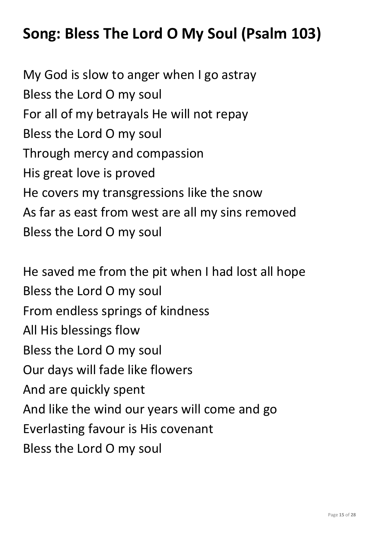# **Song: Bless The Lord O My Soul (Psalm 103)**

My God is slow to anger when I go astray Bless the Lord O my soul For all of my betrayals He will not repay Bless the Lord O my soul Through mercy and compassion His great love is proved He covers my transgressions like the snow As far as east from west are all my sins removed Bless the Lord O my soul

He saved me from the pit when I had lost all hope Bless the Lord O my soul From endless springs of kindness All His blessings flow Bless the Lord O my soul Our days will fade like flowers And are quickly spent And like the wind our years will come and go Everlasting favour is His covenant Bless the Lord O my soul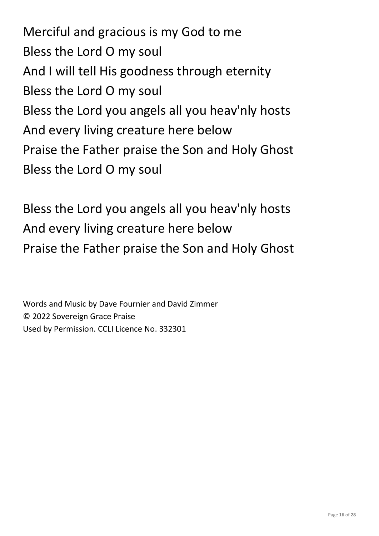Merciful and gracious is my God to me Bless the Lord O my soul And I will tell His goodness through eternity Bless the Lord O my soul Bless the Lord you angels all you heav'nly hosts And every living creature here below Praise the Father praise the Son and Holy Ghost Bless the Lord O my soul

Bless the Lord you angels all you heav'nly hosts And every living creature here below Praise the Father praise the Son and Holy Ghost

Words and Music by Dave Fournier and David Zimmer © 2022 Sovereign Grace Praise Used by Permission. CCLI Licence No. 332301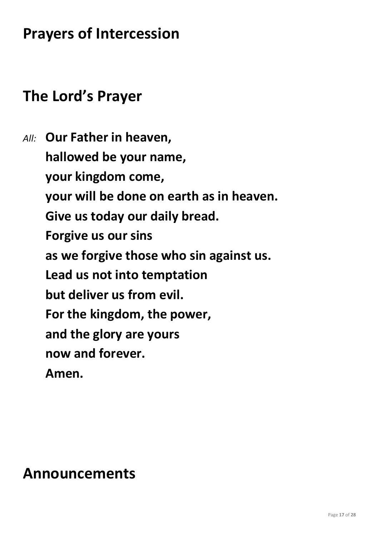## **Prayers of Intercession**

### **The Lord's Prayer**

*All:* **Our Father in heaven, hallowed be your name, your kingdom come, your will be done on earth as in heaven. Give us today our daily bread. Forgive us our sins as we forgive those who sin against us. Lead us not into temptation but deliver us from evil. For the kingdom, the power, and the glory are yours now and forever. Amen.**

#### **Announcements**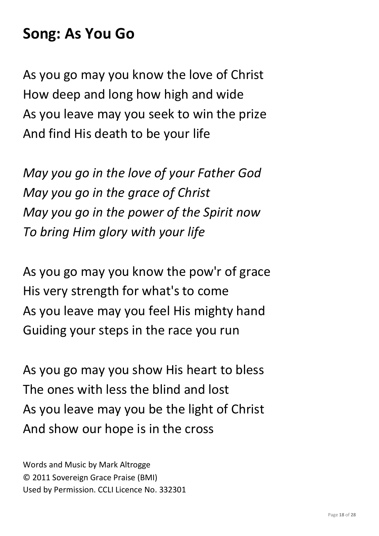#### **Song: As You Go**

As you go may you know the love of Christ How deep and long how high and wide As you leave may you seek to win the prize And find His death to be your life

*May you go in the love of your Father God May you go in the grace of Christ May you go in the power of the Spirit now To bring Him glory with your life*

As you go may you know the pow'r of grace His very strength for what's to come As you leave may you feel His mighty hand Guiding your steps in the race you run

As you go may you show His heart to bless The ones with less the blind and lost As you leave may you be the light of Christ And show our hope is in the cross

Words and Music by Mark Altrogge © 2011 Sovereign Grace Praise (BMI) Used by Permission. CCLI Licence No. 332301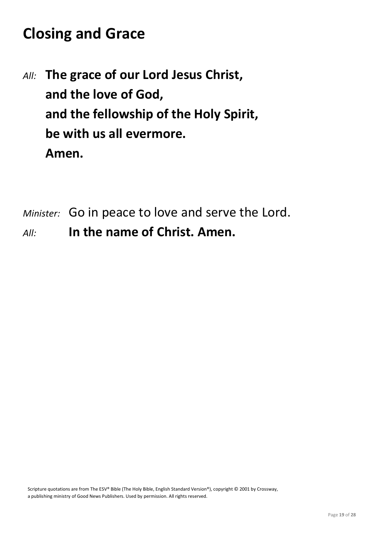# **Closing and Grace**

- *All:* **The grace of our Lord Jesus Christ, and the love of God, and the fellowship of the Holy Spirit, be with us all evermore. Amen.**
- *Minister:* Go in peace to love and serve the Lord.
- *All:* **In the name of Christ. Amen.**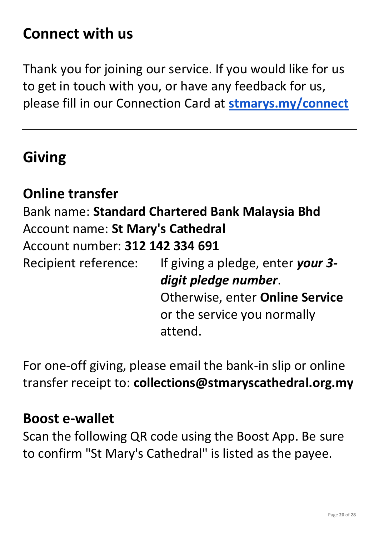## **Connect with us**

Thank you for joining our service. If you would like for us to get in touch with you, or have any feedback for us, please fill in our Connection Card at **[stmarys.my/connect](http://stmarys.my/connect)**

### **Giving**

#### **Online transfer**

Bank name: **Standard Chartered Bank Malaysia Bhd** Account name: **St Mary's Cathedral** Account number: **312 142 334 691** Recipient reference: If giving a pledge, enter *your 3 digit pledge number*.

Otherwise, enter **Online Service** or the service you normally attend.

For one-off giving, please email the bank-in slip or online transfer receipt to: **collections@stmaryscathedral.org.my**

#### **Boost e-wallet**

Scan the following QR code using the Boost App. Be sure to confirm "St Mary's Cathedral" is listed as the payee.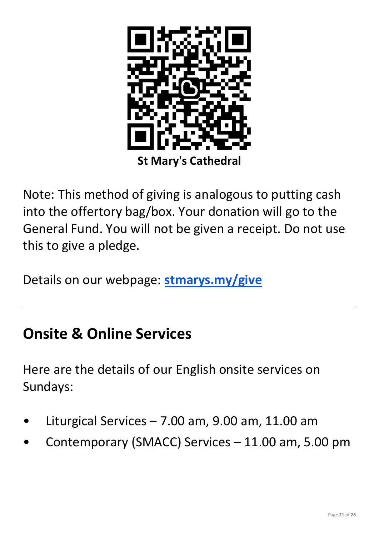

Note: This method of giving is analogous to putting cash into the offertory bag/box. Your donation will go to the General Fund. You will not be given a receipt. Do not use this to give a pledge.

Details on our webpage: **[stmarys.my/give](http://stmarys.my/give)**

### **Onsite & Online Services**

Here are the details of our English onsite services on Sundays:

- Liturgical Services  $7.00$  am,  $9.00$  am,  $11.00$  am
- Contemporary (SMACC) Services 11.00 am, 5.00 pm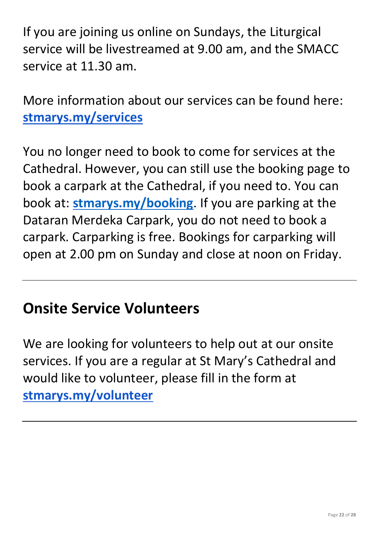If you are joining us online on Sundays, the Liturgical service will be livestreamed at 9.00 am, and the SMACC service at 11.30 am.

More information about our services can be found here: **[stmarys.my/services](http://stmarys.my/services)**

You no longer need to book to come for services at the Cathedral. However, you can still use the booking page to book a carpark at the Cathedral, if you need to. You can book at: **[stmarys.my/booking](http://stmarys.my/booking)**. If you are parking at the Dataran Merdeka Carpark, you do not need to book a carpark. Carparking is free. Bookings for carparking will open at 2.00 pm on Sunday and close at noon on Friday.

# **Onsite Service Volunteers**

We are looking for volunteers to help out at our onsite services. If you are a regular at St Mary's Cathedral and would like to volunteer, please fill in the form at **[stmarys.my/volunteer](http://stmarys.my/volunteer)**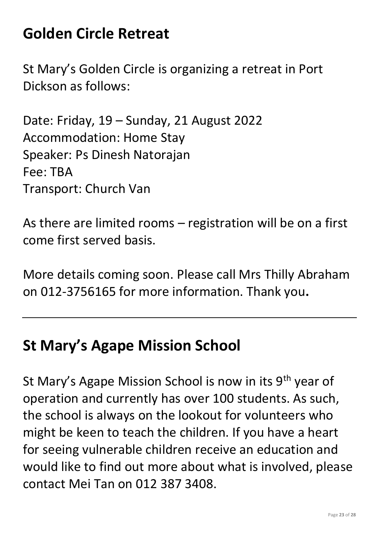# **Golden Circle Retreat**

St Mary's Golden Circle is organizing a retreat in Port Dickson as follows:

Date: Friday, 19 – Sunday, 21 August 2022 Accommodation: Home Stay Speaker: Ps Dinesh Natorajan Fee: TBA Transport: Church Van

As there are limited rooms – registration will be on a first come first served basis.

More details coming soon. Please call Mrs Thilly Abraham on 012-3756165 for more information. Thank you**.**

### **St Mary's Agape Mission School**

St Mary's Agape Mission School is now in its 9<sup>th</sup> year of operation and currently has over 100 students. As such, the school is always on the lookout for volunteers who might be keen to teach the children. If you have a heart for seeing vulnerable children receive an education and would like to find out more about what is involved, please contact Mei Tan on 012 387 3408.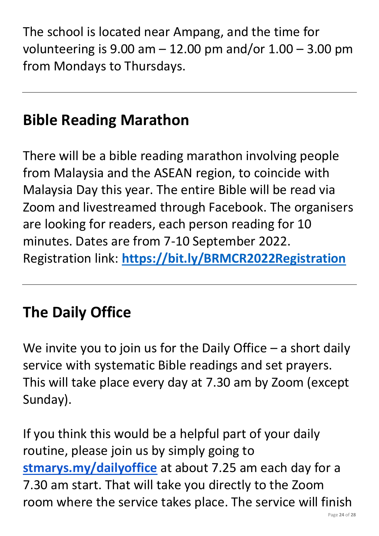The school is located near Ampang, and the time for volunteering is  $9.00$  am  $-12.00$  pm and/or  $1.00 - 3.00$  pm from Mondays to Thursdays.

# **Bible Reading Marathon**

There will be a bible reading marathon involving people from Malaysia and the ASEAN region, to coincide with Malaysia Day this year. The entire Bible will be read via Zoom and livestreamed through Facebook. The organisers are looking for readers, each person reading for 10 minutes. Dates are from 7-10 September 2022. Registration link: **<https://bit.ly/BRMCR2022Registration>**

# **The Daily Office**

We invite you to join us for the Daily Office  $-$  a short daily service with systematic Bible readings and set prayers. This will take place every day at 7.30 am by Zoom (except Sunday).

If you think this would be a helpful part of your daily routine, please join us by simply going to **[stmarys.my/dailyoffice](http://stmarys.my/dailyoffice)** at about 7.25 am each day for a 7.30 am start. That will take you directly to the Zoom room where the service takes place. The service will finish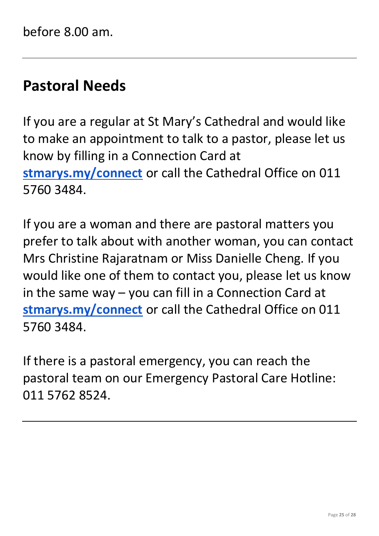## **Pastoral Needs**

If you are a regular at St Mary's Cathedral and would like to make an appointment to talk to a pastor, please let us know by filling in a Connection Card at **[stmarys.my/connect](http://stmarys.my/connect)** or call the Cathedral Office on 011 5760 3484.

If you are a woman and there are pastoral matters you prefer to talk about with another woman, you can contact Mrs Christine Rajaratnam or Miss Danielle Cheng. If you would like one of them to contact you, please let us know in the same way – you can fill in a Connection Card at **[stmarys.my/connect](http://stmarys.my/connect)** or call the Cathedral Office on 011 5760 3484.

If there is a pastoral emergency, you can reach the pastoral team on our Emergency Pastoral Care Hotline: 011 5762 8524.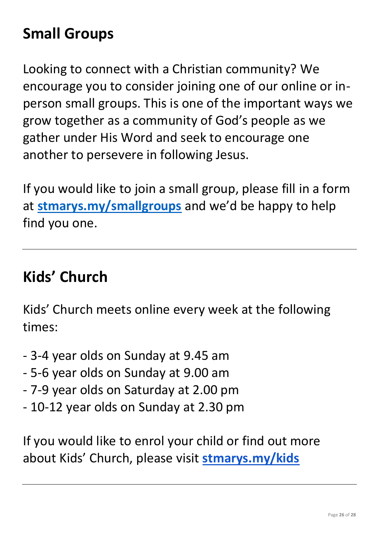# **Small Groups**

Looking to connect with a Christian community? We encourage you to consider joining one of our online or inperson small groups. This is one of the important ways we grow together as a community of God's people as we gather under His Word and seek to encourage one another to persevere in following Jesus.

If you would like to join a small group, please fill in a form at **[stmarys.my/smallgroups](http://stmarys.my/smallgroups)** and we'd be happy to help find you one.

### **Kids' Church**

Kids' Church meets online every week at the following times:

- 3-4 year olds on Sunday at 9.45 am
- 5-6 year olds on Sunday at 9.00 am
- 7-9 year olds on Saturday at 2.00 pm
- 10-12 year olds on Sunday at 2.30 pm

If you would like to enrol your child or find out more about Kids' Church, please visit **[stmarys.my/kids](http://stmarys.my/kids)**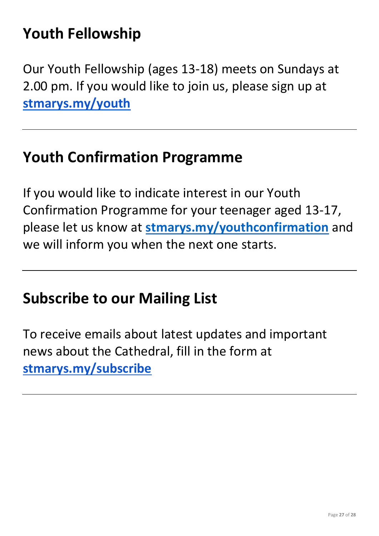# **Youth Fellowship**

Our Youth Fellowship (ages 13-18) meets on Sundays at 2.00 pm. If you would like to join us, please sign up at **[stmarys.my/youth](http://stmarys.my/youth)**

#### **Youth Confirmation Programme**

If you would like to indicate interest in our Youth Confirmation Programme for your teenager aged 13-17, please let us know at **[stmarys.my/youthconfirmation](http://stmarys.my/youthconfirmation)** and we will inform you when the next one starts.

### **Subscribe to our Mailing List**

To receive emails about latest updates and important news about the Cathedral, fill in the form at **[stmarys.my/subscribe](http://stmarys.my/subscribe)**